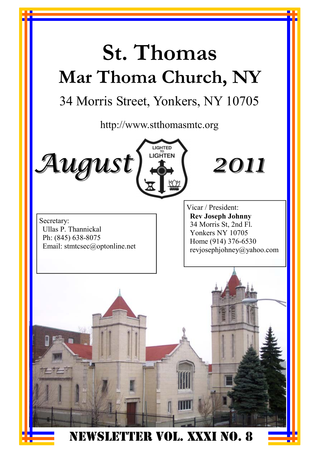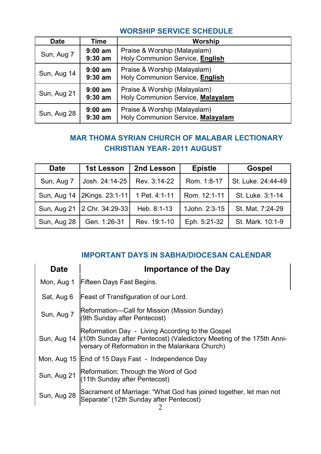#### **WORSHIP SERVICE SCHEDULE**

| <b>Date</b> | Time                   | Worship                                                           |
|-------------|------------------------|-------------------------------------------------------------------|
| Sun, Aug 7  | $9:00$ am<br>$9:30$ am | Praise & Worship (Malayalam)<br>Holy Communion Service, English   |
| Sun, Aug 14 | $9:00$ am<br>$9:30$ am | Praise & Worship (Malayalam)<br>Holy Communion Service, English   |
| Sun, Aug 21 | $9:00$ am<br>$9:30$ am | Praise & Worship (Malayalam)<br>Holy Communion Service, Malayalam |
| Sun, Aug 28 | $9:00$ am<br>$9:30$ am | Praise & Worship (Malayalam)<br>Holy Communion Service, Malayalam |

#### **MAR THOMA SYRIAN CHURCH OF MALABAR LECTIONARY CHRISTIAN YEAR- 2011 AUGUST**

| Date        | 1st Lesson                                    | 2nd Lesson   | <b>Epistle</b> | Gospel             |
|-------------|-----------------------------------------------|--------------|----------------|--------------------|
| Sun, Aug 7  | Josh. 24:14-25                                | Rev. 3:14-22 | Rom. 1:8-17    | St. Luke. 24:44-49 |
|             | Sun, Aug 14   2Kings. 23:1-11   1 Pet. 4:1-11 |              | Rom. 12:1-11   | St. Luke, 3:1-14   |
|             | Sun, Aug 21 2 Chr. 34:29-33                   | Heb. 8:1-13  | 1John. 2:3-15  | St. Mat. 7:24-29   |
| Sun, Aug 28 | Gen. 1:26-31                                  | Rev. 19:1-10 | Eph. 5:21-32   | St. Mark. 10:1-9   |

#### **IMPORTANT DAYS IN SABHA/DIOCESAN CALENDAR**

| <b>Date</b> | <b>Importance of the Day</b>                                                                                                                                                             |
|-------------|------------------------------------------------------------------------------------------------------------------------------------------------------------------------------------------|
| Mon, Aug 1  | Fifteen Days Fast Begins.                                                                                                                                                                |
| Sat, Aug 6  | Feast of Transfiguration of our Lord.                                                                                                                                                    |
| Sun, Aug 7  | Reformation-Call for Mission (Mission Sunday)<br>(9th Sunday after Pentecost)                                                                                                            |
|             | Reformation Day - Living According to the Gospel<br>Sun, Aug 14 (10th Sunday after Pentecost) (Valedictory Meeting of the 175th Anni-<br>versary of Reformation in the Malankara Church) |
|             | Mon, Aug 15 End of 15 Days Fast - Independence Day                                                                                                                                       |
| Sun, Aug 21 | Reformation: Through the Word of God<br>(11th Sunday after Pentecost)                                                                                                                    |
| Sun, Aug 28 | Sacrament of Marriage: "What God has joined together, let man not<br>Separate" (12th Sunday after Pentecost)                                                                             |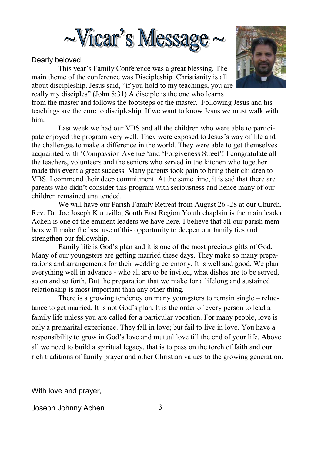

#### Dearly beloved,

This year's Family Conference was a great blessing. The main theme of the conference was Discipleship. Christianity is all about discipleship. Jesus said, "if you hold to my teachings, you are really my disciples" (John.8:31) A disciple is the one who learns



from the master and follows the footsteps of the master. Following Jesus and his teachings are the core to discipleship. If we want to know Jesus we must walk with him.

 Last week we had our VBS and all the children who were able to participate enjoyed the program very well. They were exposed to Jesus's way of life and the challenges to make a difference in the world. They were able to get themselves acquainted with 'Compassion Avenue 'and 'Forgiveness Street'! I congratulate all the teachers, volunteers and the seniors who served in the kitchen who together made this event a great success. Many parents took pain to bring their children to VBS. I commend their deep commitment. At the same time, it is sad that there are parents who didn't consider this program with seriousness and hence many of our children remained unattended.

 We will have our Parish Family Retreat from August 26 -28 at our Church. Rev. Dr. Joe Joseph Kuruvilla, South East Region Youth chaplain is the main leader. Achen is one of the eminent leaders we have here. I believe that all our parish members will make the best use of this opportunity to deepen our family ties and strengthen our fellowship.

 Family life is God's plan and it is one of the most precious gifts of God. Many of our youngsters are getting married these days. They make so many preparations and arrangements for their wedding ceremony. It is well and good. We plan everything well in advance - who all are to be invited, what dishes are to be served, so on and so forth. But the preparation that we make for a lifelong and sustained relationship is most important than any other thing.

 There is a growing tendency on many youngsters to remain single – reluctance to get married. It is not God's plan. It is the order of every person to lead a family life unless you are called for a particular vocation. For many people, love is only a premarital experience. They fall in love; but fail to live in love. You have a responsibility to grow in God's love and mutual love till the end of your life. Above all we need to build a spiritual legacy, that is to pass on the torch of faith and our rich traditions of family prayer and other Christian values to the growing generation.

With love and prayer,

Joseph Johnny Achen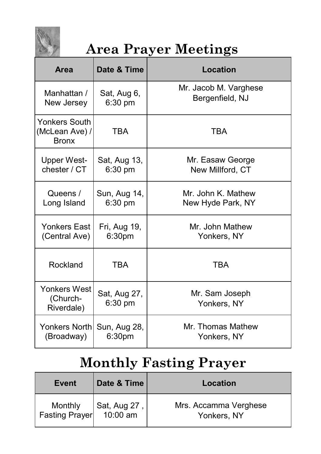

# **Area Prayer Meetings**

| <b>Area</b>                                            | Date & Time               | Location                      |
|--------------------------------------------------------|---------------------------|-------------------------------|
| Manhattan /                                            | Sat, Aug 6,               | Mr. Jacob M. Varghese         |
| New Jersey                                             | $6:30$ pm                 | Bergenfield, NJ               |
| <b>Yonkers South</b><br>(McLean Ave) /<br><b>Bronx</b> | <b>TBA</b>                | TBA                           |
| <b>Upper West-</b>                                     | Sat, Aug 13,              | Mr. Easaw George              |
| chester / CT                                           | 6:30 pm                   | New Millford, CT              |
| Queens /                                               | Sun, Aug 14,              | Mr. John K. Mathew            |
| Long Island                                            | $6:30$ pm                 | New Hyde Park, NY             |
| Yonkers East                                           | Fri, Aug 19,              | Mr. John Mathew               |
| (Central Ave)                                          | 6:30pm                    | Yonkers, NY                   |
| Rockland                                               | TRA                       | <b>TBA</b>                    |
| Yonkers West<br>(Church-<br>Riverdale)                 | Sat, Aug 27,<br>$6:30$ pm | Mr. Sam Joseph<br>Yonkers, NY |
| Yonkers Northl                                         | Sun, Aug 28,              | Mr. Thomas Mathew             |
| (Broadway)                                             | 6:30 <sub>pm</sub>        | Yonkers, NY                   |

# **Monthly Fasting Prayer**

| Event                                           | Date & Time | Location                             |
|-------------------------------------------------|-------------|--------------------------------------|
| Monthly Sat, Aug 27,<br>Fasting Prayer 10:00 am |             | Mrs. Accamma Verghese<br>Yonkers, NY |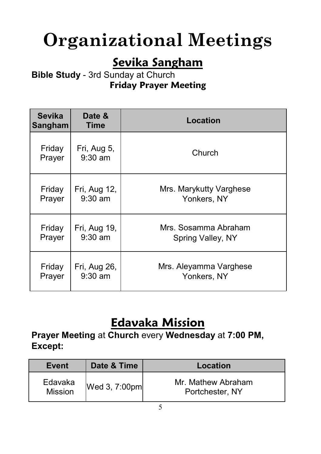# **Organizational Meetings**

# **Sevika Sangham**

#### **Bible Study** - 3rd Sunday at Church **Friday Prayer Meeting**

| <b>Sevika</b><br>Sangham | Date &<br>Time           | <b>Location</b>         |
|--------------------------|--------------------------|-------------------------|
| Friday<br>Prayer         | Fri, Aug 5,<br>$9:30$ am | Church                  |
| Friday                   | Fri, Aug 12,             | Mrs. Marykutty Varghese |
| Prayer                   | $9:30$ am                | Yonkers, NY             |
| Friday                   | Fri, Aug 19,             | Mrs. Sosamma Abraham    |
| Prayer                   | $9:30$ am                | Spring Valley, NY       |
| Friday                   | Fri, Aug 26,             | Mrs. Aleyamma Varghese  |
| Prayer                   | $9:30$ am                | Yonkers, NY             |

# **Edavaka Mission**

**Prayer Meeting** at **Church** every **Wednesday** at **7:00 PM, Except:** 

| Event                     | Date & Time      | Location                              |
|---------------------------|------------------|---------------------------------------|
| Edavaka<br><b>Mission</b> | Wed $3, 7:00$ pm | Mr. Mathew Abraham<br>Portchester, NY |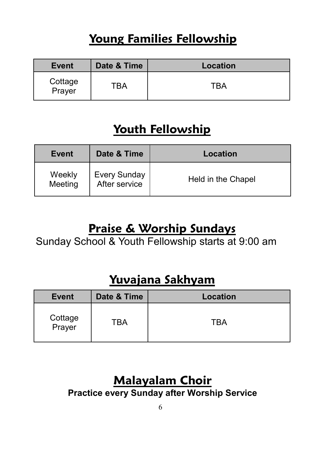# **Young Families Fellowship**

| <b>Event</b>      | Date & Time | <b>Location</b> |
|-------------------|-------------|-----------------|
| Cottage<br>Prayer | TBA         | TBA             |

## **Youth Fellowship**

| Event             | Date & Time                          | Location           |
|-------------------|--------------------------------------|--------------------|
| Weekly<br>Meeting | <b>Every Sunday</b><br>After service | Held in the Chapel |

#### **Praise & Worship Sundays**

Sunday School & Youth Fellowship starts at 9:00 am

#### **Yuvajana Sakhyam**

| <b>Event</b>      | Date & Time | Location |
|-------------------|-------------|----------|
| Cottage<br>Prayer | TBA         | TBA      |

# **Malayalam Choir**

**Practice every Sunday after Worship Service**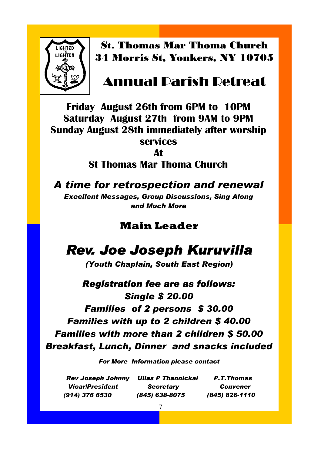

St. Thomas Mar Thoma Church 34 Morris St, Yonkers, NY 10705

#### Annual Parish Retreat

**Friday August 26th from 6PM to 10PM Saturday August 27th from 9AM to 9PM Sunday August 28th immediately after worship services** 

**At** 

**St Thomas Mar Thoma Church** 

*A time for retrospection and renewal* 

*Excellent Messages, Group Discussions, Sing Along and Much More* 

#### **Main Leader**

# *Rev. Joe Joseph Kuruvilla*

*(Youth Chaplain, South East Region)* 

*Registration fee are as follows: Single \$ 20.00 Families of 2 persons \$ 30.00 Families with up to 2 children \$ 40.00 Families with more than 2 children \$ 50.00 Breakfast, Lunch, Dinner and snacks included* 

*For More Information please contact* 

*Rev Joseph Johnny Ullas P Thannickal P.T.Thomas Vicar/President Secretary Convener (914) 376 6530 (845) 638-8075 (845) 826-1110*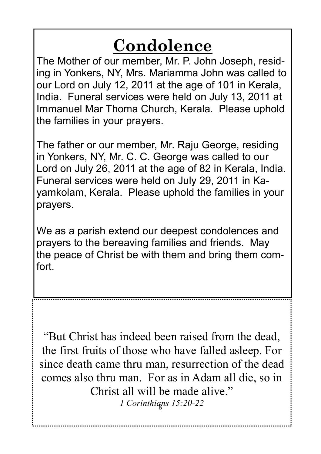# **Condolence**

The Mother of our member, Mr. P. John Joseph, residing in Yonkers, NY, Mrs. Mariamma John was called to our Lord on July 12, 2011 at the age of 101 in Kerala, India. Funeral services were held on July 13, 2011 at Immanuel Mar Thoma Church, Kerala. Please uphold the families in your prayers.

The father or our member, Mr. Raju George, residing in Yonkers, NY, Mr. C. C. George was called to our Lord on July 26, 2011 at the age of 82 in Kerala, India. Funeral services were held on July 29, 2011 in Kayamkolam, Kerala. Please uphold the families in your prayers.

We as a parish extend our deepest condolences and prayers to the bereaving families and friends. May the peace of Christ be with them and bring them comfort.

"But Christ has indeed been raised from the dead, the first fruits of those who have falled asleep. For since death came thru man, resurrection of the dead comes also thru man. For as in Adam all die, so in Christ all will be made alive."

8 *1 Corinthians 15:20-22*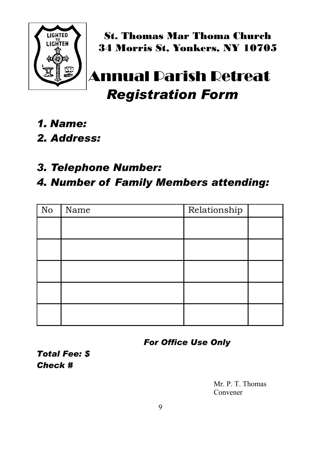

St. Thomas Mar Thoma Church 34 Morris St, Yonkers, NY 10705

# nual Parish Retreat  *Registration Form*

- *1. Name:*
- *2. Address:*
- *3. Telephone Number:*

#### *4. Number of Family Members attending:*

| No | Name | Relationship |  |
|----|------|--------------|--|
|    |      |              |  |
|    |      |              |  |
|    |      |              |  |
|    |      |              |  |
|    |      |              |  |

*For Office Use Only* 

*Total Fee: \$ Check #* 

> Mr. P. T. Thomas Convener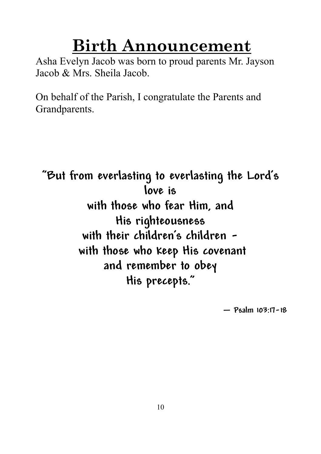# **Birth Announcement**

Asha Evelyn Jacob was born to proud parents Mr. Jayson Jacob & Mrs. Sheila Jacob.

On behalf of the Parish, I congratulate the Parents and Grandparents.

**"But from everlasting to everlasting the Lord's love is with those who fear Him, and His righteousness with their children's children with those who keep His covenant and remember to obey His precepts."** 

**— Psalm 103:17-18**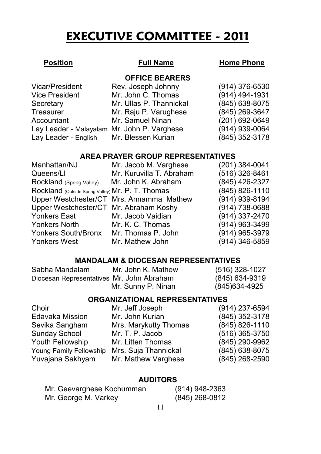# **EXECUTIVE COMMITTEE - 2011**

#### **Position Full Name Home Phone**

**OFFICE BEARERS**

| Rev. Joseph Johnny      | $(914)$ 376-6530                                                                       |
|-------------------------|----------------------------------------------------------------------------------------|
| Mr. John C. Thomas      | (914) 494-1931                                                                         |
| Mr. Ullas P. Thannickal | (845) 638-8075                                                                         |
| Mr. Raju P. Varughese   | (845) 269-3647                                                                         |
| Mr. Samuel Ninan        | (201) 692-0649                                                                         |
|                         | (914) 939-0064                                                                         |
|                         | (845) 352-3178                                                                         |
|                         | Lay Leader - Malayalam Mr. John P. Varghese<br>Lay Leader - English Mr. Blessen Kurian |

#### **AREA PRAYER GROUP REPRESENTATIVES**

| Manhattan/NJ                                      | Mr. Jacob M. Varghese                    | (201) 384-0041 |
|---------------------------------------------------|------------------------------------------|----------------|
| Queens/LI                                         | Mr. Kuruvilla T. Abraham                 | (516) 326-8461 |
| Rockland (Spring Valley)                          | Mr. John K. Abraham                      | (845) 426-2327 |
| Rockland (Outside Spring Valley) Mr. P. T. Thomas |                                          | (845) 826-1110 |
|                                                   | Upper Westchester/CT Mrs. Annamma Mathew | (914) 939-8194 |
| Upper Westchester/CT Mr. Abraham Koshy            |                                          | (914) 738-0688 |
| Yonkers East                                      | Mr. Jacob Vaidian                        | (914) 337-2470 |
| Yonkers North                                     | Mr. K. C. Thomas                         | (914) 963-3499 |
| Yonkers South/Bronx                               | Mr. Thomas P. John                       | (914) 965-3979 |
| <b>Yonkers West</b>                               | Mr. Mathew John                          | (914) 346-5859 |

#### **MANDALAM & DIOCESAN REPRESENTATIVES**

| Sabha Mandalam                            | Mr. John K. Mathew | (516) 328-1027 |
|-------------------------------------------|--------------------|----------------|
| Diocesan Representatives Mr. John Abraham |                    | (845) 634-9319 |
|                                           | Mr. Sunny P. Ninan | (845) 634-4925 |

#### **ORGANIZATIONAL REPRESENTATIVES**

| Choir                   | Mr. Jeff Joseph       | (914) 237-6594   |
|-------------------------|-----------------------|------------------|
| Edavaka Mission         | Mr. John Kurian       | (845) 352-3178   |
| Sevika Sangham          | Mrs. Marykutty Thomas | (845) 826-1110   |
| Sunday School           | Mr. T. P. Jacob       | $(516)$ 365-3750 |
| Youth Fellowship        | Mr. Litten Thomas     | (845) 290-9962   |
| Young Family Fellowship | Mrs. Suja Thannickal  | (845) 638-8075   |
| Yuvajana Sakhyam        | Mr. Mathew Varghese   | (845) 268-2590   |
|                         |                       |                  |

#### **AUDITORS**

| Mr. Geevarghese Kochumman | $(914)$ 948-2363 |
|---------------------------|------------------|
| Mr. George M. Varkey      | $(845)$ 268-0812 |